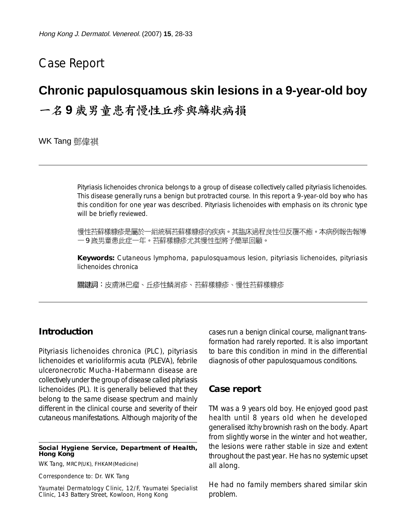## Case Report

# **Chronic papulosquamous skin lesions in a 9-year-old boy** 一名9歲男童患有慢性丘疹與鱗狀病損

WK Tang 鄧偉祺

Pityriasis lichenoides chronica belongs to a group of disease collectively called pityriasis lichenoides. This disease generally runs a benign but protracted course. In this report a 9-year-old boy who has this condition for one year was described. Pityriasis lichenoides with emphasis on its chronic type will be briefly reviewed.

慢性苔蘚樣糠疹是屬於一組統稱苔蘚樣糠疹的疾病。其臨床過程良性但反覆不癒。本病例報告報導 一9歲男童患此症一年。苔蘚樣糠疹尤其慢性型將予簡單回顧。

**Keywords:** Cutaneous lymphoma, papulosquamous lesion, pityriasis lichenoides, pityriasis lichenoides chronica

關鍵詞:皮膚淋巴瘤、丘疹性鱗屑疹、苔蘚樣糠疹、慢性苔蘚樣糠疹

### **Introduction**

Pityriasis lichenoides chronica (PLC), pityriasis lichenoides et varioliformis acuta (PLEVA), febrile ulceronecrotic Mucha-Habermann disease are collectively under the group of disease called pityriasis lichenoides (PL). It is generally believed that they belong to the same disease spectrum and mainly different in the clinical course and severity of their cutaneous manifestations. Although majority of the

#### **Social Hygiene Service, Department of Health, Hong Kong**

WK Tang, MRCP(UK), FHKAM(Medicine)

Correspondence to: Dr. WK Tang

Yaumatei Dermatology Clinic, 12/F, Yaumatei Specialist Clinic, 143 Battery Street, Kowloon, Hong Kong

cases run a benign clinical course, malignant transformation had rarely reported. It is also important to bare this condition in mind in the differential diagnosis of other papulosquamous conditions.

#### **Case report**

TM was a 9 years old boy. He enjoyed good past health until 8 years old when he developed generalised itchy brownish rash on the body. Apart from slightly worse in the winter and hot weather, the lesions were rather stable in size and extent throughout the past year. He has no systemic upset all along.

He had no family members shared similar skin problem.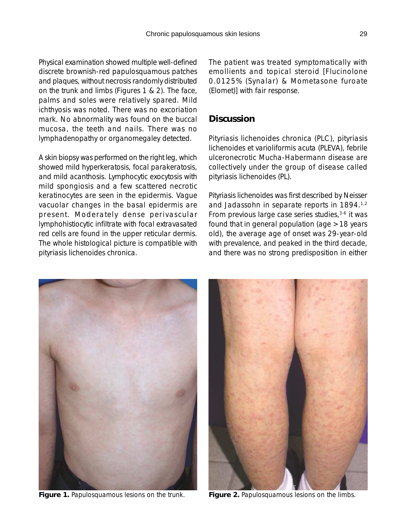Physical examination showed multiple well-defined discrete brownish-red papulosquamous patches and plaques, without necrosis randomly distributed on the trunk and limbs (Figures 1 & 2). The face, palms and soles were relatively spared. Mild ichthyosis was noted. There was no excoriation mark. No abnormality was found on the buccal mucosa, the teeth and nails. There was no

lymphadenopathy or organomegaley detected.

A skin biopsy was performed on the right leg, which showed mild hyperkeratosis, focal parakeratosis, and mild acanthosis. Lymphocytic exocytosis with mild spongiosis and a few scattered necrotic keratinocytes are seen in the epidermis. Vague vacuolar changes in the basal epidermis are present. Moderately dense perivascular lymphohistiocytic infiltrate with focal extravasated red cells are found in the upper reticular dermis. The whole histological picture is compatible with pityriasis lichenoides chronica.

The patient was treated symptomatically with emollients and topical steroid [Flucinolone 0.0125% (Synalar) & Mometasone furoate (Elomet)] with fair response.

## **Discussion**

Pityriasis lichenoides chronica (PLC), pityriasis lichenoides et varioliformis acuta (PLEVA), febrile ulceronecrotic Mucha-Habermann disease are collectively under the group of disease called pityriasis lichenoides (PL).

Pityriasis lichenoides was first described by Neisser and Jadassohn in separate reports in 1894.<sup>1,2</sup> From previous large case series studies, $3-6$  it was found that in general population (age >18 years old), the average age of onset was 29-year-old with prevalence, and peaked in the third decade, and there was no strong predisposition in either



**Figure 1.** Papulosquamous lesions on the trunk. **Figure 2.** Papulosquamous lesions on the limbs.

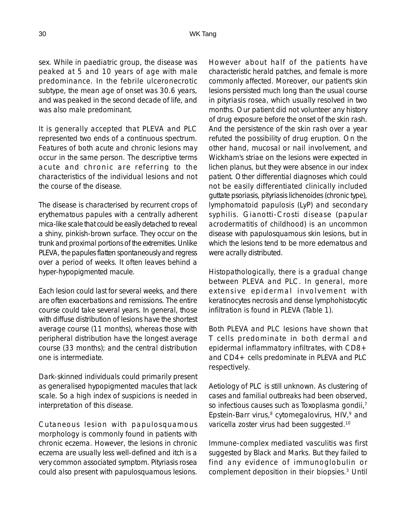sex. While in paediatric group, the disease was peaked at 5 and 10 years of age with male predominance. In the febrile ulceronecrotic subtype, the mean age of onset was 30.6 years, and was peaked in the second decade of life, and was also male predominant.

It is generally accepted that PLEVA and PLC represented two ends of a continuous spectrum. Features of both acute and chronic lesions may occur in the same person. The descriptive terms *acute* and *chronic* are referring to the characteristics of the individual lesions and not the course of the disease.

The disease is characterised by recurrent crops of erythematous papules with a centrally adherent mica-like scale that could be easily detached to reveal a shiny, pinkish-brown surface. They occur on the trunk and *proximal portions* of the extremities. Unlike PLEVA, the papules flatten spontaneously and regress over a period of weeks. It often leaves behind a hyper-hypopigmented macule.

Each lesion could last for several weeks, and there are often exacerbations and remissions. The entire course could take several years. In general, those with diffuse distribution of lesions have the shortest average course (11 months), whereas those with peripheral distribution have the longest average course (33 months); and the central distribution one is intermediate.

Dark-skinned individuals could primarily present as generalised hypopigmented macules that lack scale. So a high index of suspicions is needed in interpretation of this disease.

Cutaneous lesion with papulosquamous morphology is commonly found in patients with chronic eczema. However, the lesions in chronic eczema are usually less well-defined and itch is a very common associated symptom. Pityriasis rosea could also present with papulosquamous lesions.

However about half of the patients have characteristic herald patches, and female is more commonly affected. Moreover, our patient's skin lesions persisted much long than the usual course in pityriasis rosea, which usually resolved in two months. Our patient did not volunteer any history of drug exposure before the onset of the skin rash. And the persistence of the skin rash over a year refuted the possibility of drug eruption. On the other hand, mucosal or nail involvement, and Wickham's striae on the lesions were expected in lichen planus, but they were absence in our index patient. Other differential diagnoses which could not be easily differentiated clinically included guttate psoriasis, pityriasis lichenoides (chronic type), lymphomatoid papulosis (LyP) and secondary syphilis. Gianotti-Crosti disease (papular acrodermatitis of childhood) is an uncommon disease with papulosquamous skin lesions, but in which the lesions tend to be more edematous and were acrally distributed.

Histopathologically, there is a gradual change between PLEVA and PLC. In general, more extensive epidermal involvement with keratinocytes necrosis and dense lymphohistocytic infiltration is found in PLEVA (Table 1).

Both PLEVA and PLC lesions have shown that T cells predominate in both dermal and epidermal inflammatory infiltrates, with CD8+ and CD4+ cells predominate in PLEVA and PLC respectively.

Aetiology of PLC is still unknown. As clustering of cases and familial outbreaks had been observed, so infectious causes such as Toxoplasma gondii,<sup>7</sup> Epstein-Barr virus, $8$  cytomegalovirus, HIV, $9$  and varicella zoster virus had been suggested.10

Immune-complex mediated vasculitis was first suggested by Black and Marks. But they failed to find any evidence of immunoglobulin or complement deposition in their biopsies.3 Until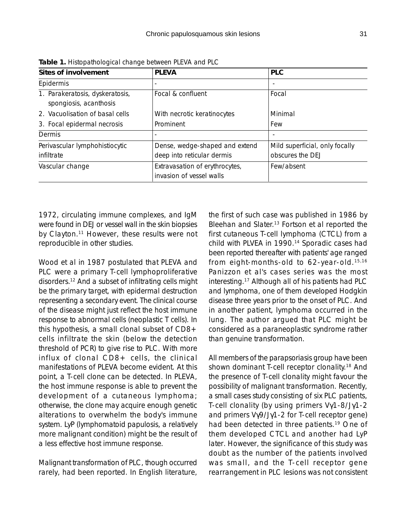| Sites of involvement                                      | <b>PLEVA</b>                                                 | <b>PLC</b>                                         |
|-----------------------------------------------------------|--------------------------------------------------------------|----------------------------------------------------|
| Epidermis                                                 | $\overline{\phantom{a}}$                                     | $\overline{\phantom{a}}$                           |
| 1. Parakeratosis, dyskeratosis,<br>spongiosis, acanthosis | Focal & confluent                                            | Focal                                              |
| 2. Vacuolisation of basal cells                           | With necrotic keratinocytes                                  | Minimal                                            |
| 3. Focal epidermal necrosis                               | Prominent                                                    | Few                                                |
| Dermis                                                    | ٠                                                            | $\overline{\phantom{0}}$                           |
| Perivascular lymphohistiocytic<br>infiltrate              | Dense, wedge-shaped and extend<br>deep into reticular dermis | Mild superficial, only focally<br>obscures the DEJ |
| Vascular change                                           | Extravasation of erythrocytes,<br>invasion of vessel walls   | Few/absent                                         |

**Table 1.** Histopathological change between PLEVA and PLC

1972, circulating immune complexes, and IgM were found in DEJ or vessel wall in the skin biopsies by Clayton.<sup>11</sup> However, these results were not reproducible in other studies.

Wood et al in 1987 postulated that PLEVA and PLC were a primary T-cell lymphoproliferative disorders.12 And a subset of infiltrating cells might be the primary target, with epidermal destruction representing a secondary event. The clinical course of the disease might just reflect the host immune response to abnormal cells (neoplastic T cells). In this hypothesis, a small clonal subset of CD8+ cells infiltrate the skin (below the detection threshold of PCR) to give rise to PLC. With more influx of clonal CD8+ cells, the clinical manifestations of PLEVA become evident. At this point, a T-cell clone can be detected. In PLEVA, the host immune response is able to prevent the development of a cutaneous lymphoma; otherwise, the clone may acquire enough genetic alterations to overwhelm the body's immune system. LyP (lymphomatoid papulosis, a relatively more malignant condition) might be the result of a less effective host immune response.

Malignant transformation of PLC, though occurred rarely, had been reported. In English literature, the first of such case was published in 1986 by Bleehan and Slater.<sup>13</sup> Fortson et al reported the first cutaneous T-cell lymphoma (CTCL) from a child with PLVEA in 1990.<sup>14</sup> Sporadic cases had been reported thereafter with patients' age ranged from eight-months-old to 62-year-old.15,16 Panizzon et al's cases series was the most interesting.17 Although all of his patients had PLC and lymphoma, one of them developed Hodgkin disease three years prior to the onset of PLC. And in another patient, lymphoma occurred in the lung. The author argued that PLC might be considered as a paraneoplastic syndrome rather than genuine transformation.

All members of the parapsoriasis group have been shown dominant T-cell receptor clonality.<sup>18</sup> And the presence of T-cell clonality might favour the possibility of malignant transformation. Recently, a small cases study consisting of six PLC patients, T-cell clonality (by using primers Vγ1-8/Jγ1-2 and primers Vγ9/Jγ1-2 for T-cell receptor gene) had been detected in three patients.<sup>19</sup> One of them developed CTCL and another had LyP later. However, the significance of this study was doubt as the number of the patients involved was small, and the T-cell receptor gene rearrangement in PLC lesions was not consistent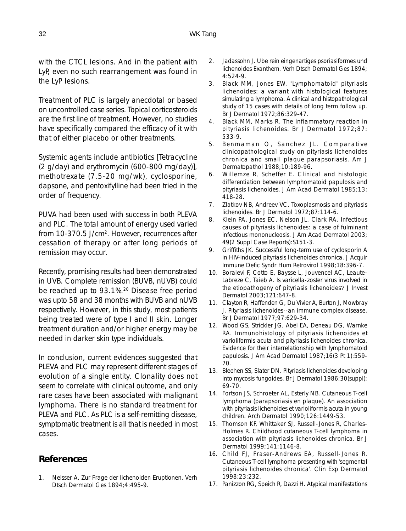with the CTCL lesions. And in the patient with LyP, even no such rearrangement was found in the LyP lesions.

Treatment of PLC is largely anecdotal or based on uncontrolled case series. Topical corticosteroids are the first line of treatment. However, no studies have specifically compared the efficacy of it with that of either placebo or other treatments.

Systemic agents include antibiotics [Tetracycline (2 g/day) and erythromycin (600-800 mg/day)], methotrexate (7.5-20 mg/wk), cyclosporine, dapsone, and pentoxifylline had been tried in the order of frequency.

PUVA had been used with success in both PLEVA and PLC. The total amount of energy used varied from 10-370.5 J/cm2. However, recurrences after cessation of therapy or after long periods of remission may occur.

Recently, promising results had been demonstrated in UVB. Complete remission (BUVB, nUVB) could be reached up to 93.1%.20 Disease free period was upto 58 and 38 months with BUVB and nUVB respectively. However, in this study, most patients being treated were of type I and II skin. Longer treatment duration and/or higher energy may be needed in darker skin type individuals.

In conclusion, current evidences suggested that PLEVA and PLC may represent different stages of evolution of a single entity. Clonality does not seem to correlate with clinical outcome, and only rare cases have been associated with malignant lymphoma. There is no standard treatment for PLEVA and PLC. As PLC is a self-remitting disease, symptomatic treatment is all that is needed in most cases.

## **References**

1. Neisser A. Zur Frage der lichenoiden Eruptionen. Verh Dtsch Dermatol Ges 1894;4:495-9.

- 2. Jadassohn J. Ube rein eingenartiges psoriasiformes und lichenoides Exanthem. Verh Dtsch Dermatol Ges 1894; 4:524-9.
- 3. Black MM, Jones EW. "Lymphomatoid" pityriasis lichenoides: a variant with histological features simulating a lymphoma. A clinical and histopathological study of 15 cases with details of long term follow up. Br J Dermatol 1972;86:329-47.
- 4. Black MM, Marks R. The inflammatory reaction in pityriasis lichenoides. Br J Dermatol 1972;87: 533-9.
- 5. Benmaman O, Sanchez JL. Comparative clinicopathological study on pityriasis lichenoides chronica and small plaque parapsoriasis. Am J Dermatopathol 1988;10:189-96.
- 6. Willemze R, Scheffer E. Clinical and histologic differentiation between lymphomatoid papulosis and pityriasis lichenoides. J Am Acad Dermatol 1985;13: 418-28.
- 7. Zlatkov NB, Andreev VC. Toxoplasmosis and pityriasis lichenoides. Br J Dermatol 1972;87:114-6.
- 8. Klein PA, Jones EC, Nelson JL, Clark RA. Infectious causes of pityriasis lichenoides: a case of fulminant infectious mononucleosis. J Am Acad Dermatol 2003; 49(2 Suppl Case Reports):S151-3.
- 9. Griffiths JK. Successful long-term use of cyclosporin A in HIV-induced pityriasis lichenoides chronica. J Acquir Immune Defic Syndr Hum Retrovirol 1998;18:396-7.
- 10. Boralevi F, Cotto E, Baysse L, Jouvencel AC, Leaute-Labreze C, Taieb A. Is varicella-zoster virus involved in the etiopathogeny of pityriasis lichenoides? J Invest Dermatol 2003;121:647-8.
- 11. Clayton R, Haffenden G, Du Vivier A, Burton J, Mowbray J. Pityriasis lichenoides--an immune complex disease. Br J Dermatol 1977;97:629-34.
- 12. Wood GS, Strickler JG, Abel EA, Deneau DG, Warnke RA. Immunohistology of pityriasis lichenoides et varioliformis acuta and pityriasis lichenoides chronica. Evidence for their interrelationship with lymphomatoid papulosis. J Am Acad Dermatol 1987;16(3 Pt 1):559- 70.
- 13. Bleehen SS, Slater DN. Pityriasis lichenoides developing into mycosis fungoides. Br J Dermatol 1986;30(suppl): 69-70.
- 14. Fortson JS, Schroeter AL, Esterly NB. Cutaneous T-cell lymphoma (parapsoriasis en plaque). An association with pityriasis lichenoides et varioliformis acuta in young children. Arch Dermatol 1990;126:1449-53.
- 15. Thomson KF, Whittaker SJ, Russell-Jones R, Charles-Holmes R. Childhood cutaneous T-cell lymphoma in association with pityriasis lichenoides chronica. Br J Dermatol 1999;141:1146-8.
- 16. Child FJ, Fraser-Andrews EA, Russell-Jones R. Cutaneous T-cell lymphoma presenting with 'segmental pityriasis lichenoides chronica'. Clin Exp Dermatol 1998;23:232.
- 17. Panizzon RG, Speich R, Dazzi H. Atypical manifestations